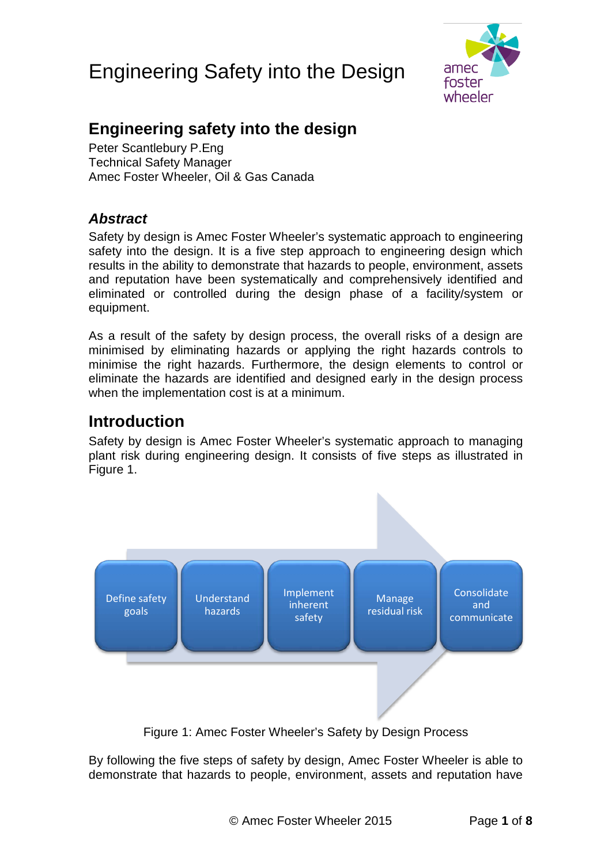

## **Engineering safety into the design**

Peter Scantlebury P.Eng Technical Safety Manager Amec Foster Wheeler, Oil & Gas Canada

### *Abstract*

Safety by design is Amec Foster Wheeler's systematic approach to engineering safety into the design. It is a five step approach to engineering design which results in the ability to demonstrate that hazards to people, environment, assets and reputation have been systematically and comprehensively identified and eliminated or controlled during the design phase of a facility/system or equipment.

As a result of the safety by design process, the overall risks of a design are minimised by eliminating hazards or applying the right hazards controls to minimise the right hazards. Furthermore, the design elements to control or eliminate the hazards are identified and designed early in the design process when the implementation cost is at a minimum.

## **Introduction**

Safety by design is Amec Foster Wheeler's systematic approach to managing plant risk during engineering design. It consists of five steps as illustrated in [Figure 1.](#page-0-0)



Figure 1: Amec Foster Wheeler's Safety by Design Process

<span id="page-0-0"></span>By following the five steps of safety by design, Amec Foster Wheeler is able to demonstrate that hazards to people, environment, assets and reputation have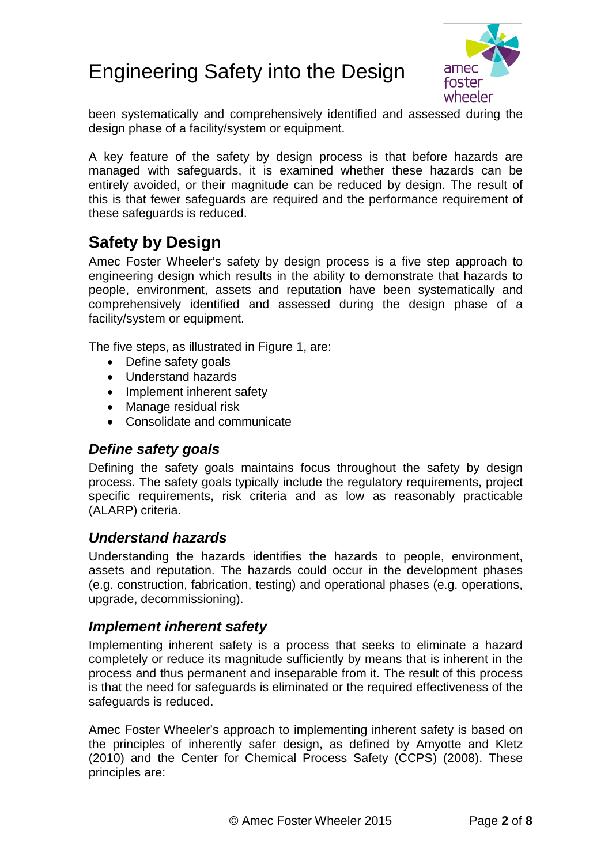

been systematically and comprehensively identified and assessed during the design phase of a facility/system or equipment.

A key feature of the safety by design process is that before hazards are managed with safeguards, it is examined whether these hazards can be entirely avoided, or their magnitude can be reduced by design. The result of this is that fewer safeguards are required and the performance requirement of these safeguards is reduced.

## **Safety by Design**

Amec Foster Wheeler's safety by design process is a five step approach to engineering design which results in the ability to demonstrate that hazards to people, environment, assets and reputation have been systematically and comprehensively identified and assessed during the design phase of a facility/system or equipment.

The five steps, as illustrated in [Figure 1,](#page-0-0) are:

- Define safety goals
- Understand hazards
- Implement inherent safety
- Manage residual risk
- Consolidate and communicate

#### *Define safety goals*

Defining the safety goals maintains focus throughout the safety by design process. The safety goals typically include the regulatory requirements, project specific requirements, risk criteria and as low as reasonably practicable (ALARP) criteria.

### *Understand hazards*

Understanding the hazards identifies the hazards to people, environment, assets and reputation. The hazards could occur in the development phases (e.g. construction, fabrication, testing) and operational phases (e.g. operations, upgrade, decommissioning).

#### *Implement inherent safety*

Implementing inherent safety is a process that seeks to eliminate a hazard completely or reduce its magnitude sufficiently by means that is inherent in the process and thus permanent and inseparable from it. The result of this process is that the need for safeguards is eliminated or the required effectiveness of the safeguards is reduced.

Amec Foster Wheeler's approach to implementing inherent safety is based on the principles of inherently safer design, as defined by Amyotte and Kletz (2010) and the Center for Chemical Process Safety (CCPS) (2008). These principles are: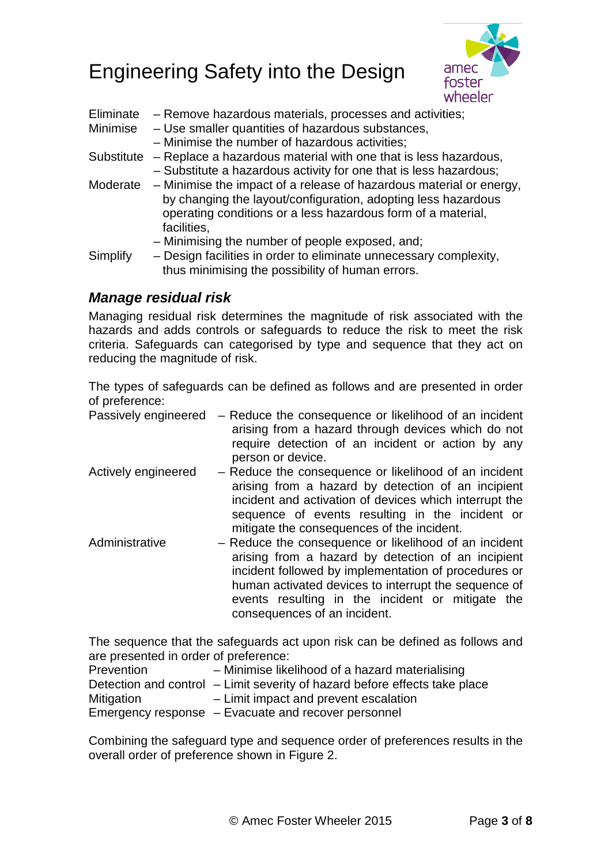

| Eliminate<br>Minimise | - Remove hazardous materials, processes and activities;<br>- Use smaller quantities of hazardous substances,<br>- Minimise the number of hazardous activities;                                                               |
|-----------------------|------------------------------------------------------------------------------------------------------------------------------------------------------------------------------------------------------------------------------|
| Substitute            | - Replace a hazardous material with one that is less hazardous,<br>- Substitute a hazardous activity for one that is less hazardous;                                                                                         |
|                       | Moderate – Minimise the impact of a release of hazardous material or energy,<br>by changing the layout/configuration, adopting less hazardous<br>operating conditions or a less hazardous form of a material,<br>facilities, |
| Simplify              | - Minimising the number of people exposed, and;<br>- Design facilities in order to eliminate unnecessary complexity,<br>thus minimising the possibility of human errors.                                                     |

### *Manage residual risk*

Managing residual risk determines the magnitude of risk associated with the hazards and adds controls or safeguards to reduce the risk to meet the risk criteria. Safeguards can categorised by type and sequence that they act on reducing the magnitude of risk.

The types of safeguards can be defined as follows and are presented in order of preference:

|                     | Passively engineered – Reduce the consequence or likelihood of an incident |
|---------------------|----------------------------------------------------------------------------|
|                     | arising from a hazard through devices which do not                         |
|                     | require detection of an incident or action by any                          |
|                     | person or device.                                                          |
| Actively engineered | - Reduce the consequence or likelihood of an incident                      |
|                     | origing from a hazard by detection of an incipiont                         |

- arising from a hazard by detection of an incipient incident and activation of devices which interrupt the sequence of events resulting in the incident or mitigate the consequences of the incident.
- Administrative Reduce the consequence or likelihood of an incident arising from a hazard by detection of an incipient incident followed by implementation of procedures or human activated devices to interrupt the sequence of events resulting in the incident or mitigate the consequences of an incident.

The sequence that the safeguards act upon risk can be defined as follows and are presented in order of preference:

| Prevention        | - Minimise likelihood of a hazard materialising                            |
|-------------------|----------------------------------------------------------------------------|
|                   | Detection and control – Limit severity of hazard before effects take place |
| <b>Mitigation</b> | - Limit impact and prevent escalation                                      |
|                   | Emergency response - Evacuate and recover personnel                        |

Combining the safeguard type and sequence order of preferences results in the overall order of preference shown in [Figure 2.](#page-3-0)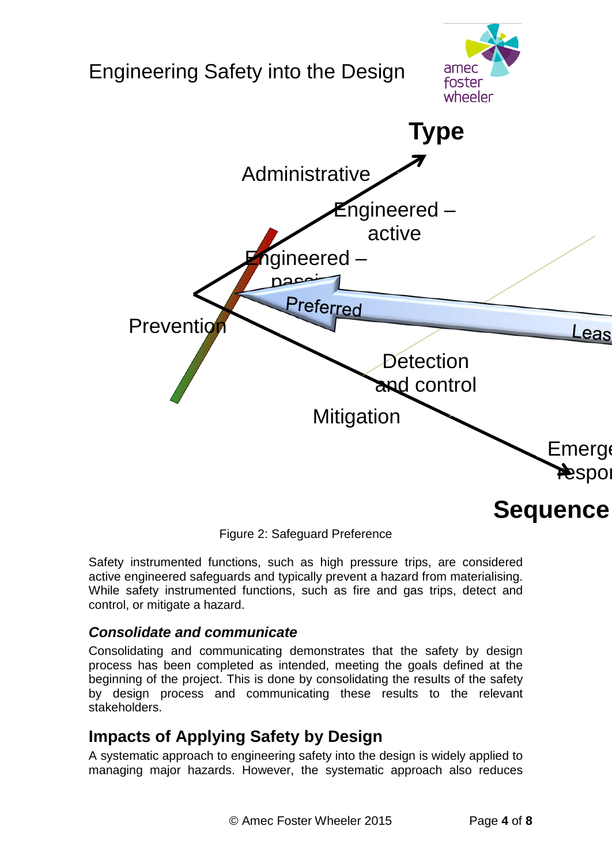

Figure 2: Safeguard Preference

<span id="page-3-0"></span>Safety instrumented functions, such as high pressure trips, are considered active engineered safeguards and typically prevent a hazard from materialising. While safety instrumented functions, such as fire and gas trips, detect and control, or mitigate a hazard.

### *Consolidate and communicate*

Consolidating and communicating demonstrates that the safety by design process has been completed as intended, meeting the goals defined at the beginning of the project. This is done by consolidating the results of the safety by design process and communicating these results to the relevant stakeholders.

## **Impacts of Applying Safety by Design**

A systematic approach to engineering safety into the design is widely applied to managing major hazards. However, the systematic approach also reduces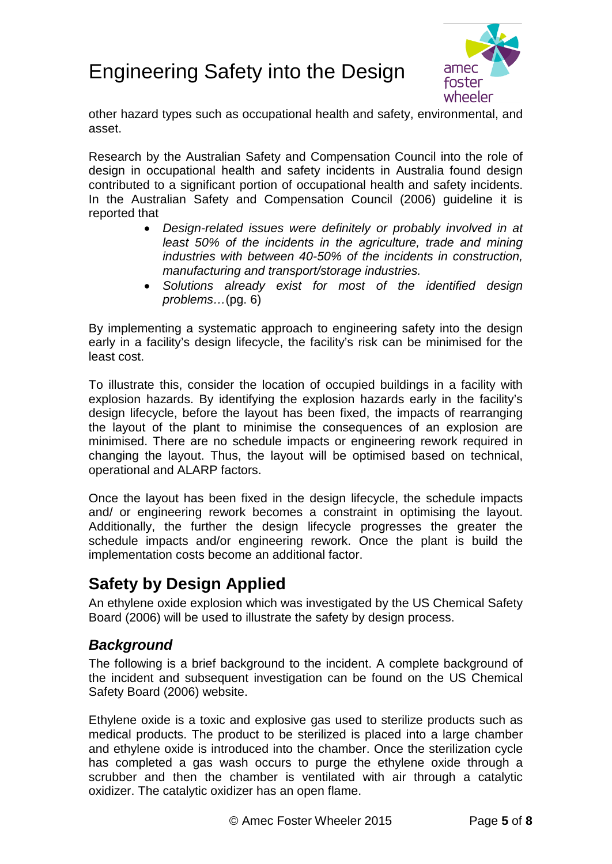

other hazard types such as occupational health and safety, environmental, and asset.

Research by the Australian Safety and Compensation Council into the role of design in occupational health and safety incidents in Australia found design contributed to a significant portion of occupational health and safety incidents. In the Australian Safety and Compensation Council (2006) guideline it is reported that

- *Design-related issues were definitely or probably involved in at least 50% of the incidents in the agriculture, trade and mining industries with between 40-50% of the incidents in construction, manufacturing and transport/storage industries.*
- *Solutions already exist for most of the identified design problems…*(pg. 6)

By implementing a systematic approach to engineering safety into the design early in a facility's design lifecycle, the facility's risk can be minimised for the least cost.

To illustrate this, consider the location of occupied buildings in a facility with explosion hazards. By identifying the explosion hazards early in the facility's design lifecycle, before the layout has been fixed, the impacts of rearranging the layout of the plant to minimise the consequences of an explosion are minimised. There are no schedule impacts or engineering rework required in changing the layout. Thus, the layout will be optimised based on technical, operational and ALARP factors.

Once the layout has been fixed in the design lifecycle, the schedule impacts and/ or engineering rework becomes a constraint in optimising the layout. Additionally, the further the design lifecycle progresses the greater the schedule impacts and/or engineering rework. Once the plant is build the implementation costs become an additional factor.

## **Safety by Design Applied**

An ethylene oxide explosion which was investigated by the US Chemical Safety Board (2006) will be used to illustrate the safety by design process.

### *Background*

The following is a brief background to the incident. A complete background of the incident and subsequent investigation can be found on the US Chemical Safety Board (2006) website.

Ethylene oxide is a toxic and explosive gas used to sterilize products such as medical products. The product to be sterilized is placed into a large chamber and ethylene oxide is introduced into the chamber. Once the sterilization cycle has completed a gas wash occurs to purge the ethylene oxide through a scrubber and then the chamber is ventilated with air through a catalytic oxidizer. The catalytic oxidizer has an open flame.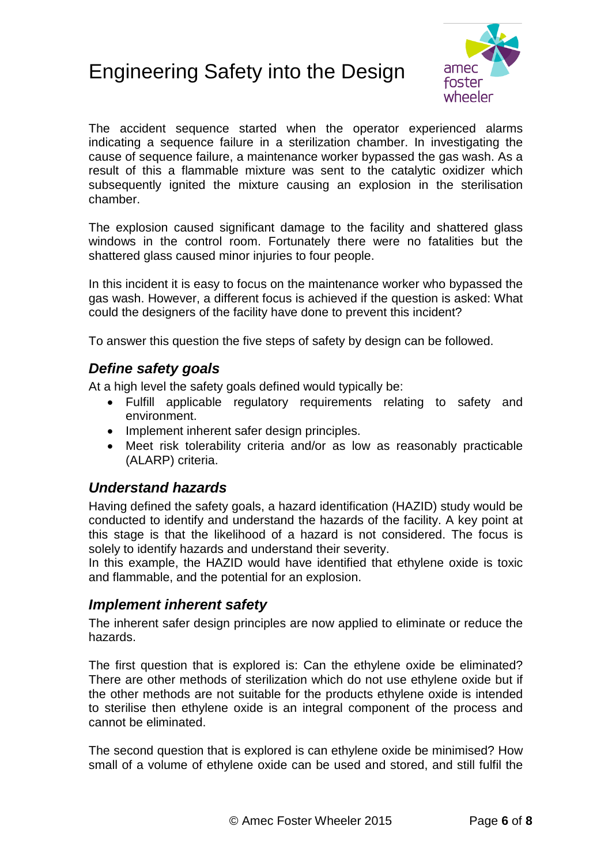

The accident sequence started when the operator experienced alarms indicating a sequence failure in a sterilization chamber. In investigating the cause of sequence failure, a maintenance worker bypassed the gas wash. As a result of this a flammable mixture was sent to the catalytic oxidizer which subsequently ignited the mixture causing an explosion in the sterilisation chamber.

The explosion caused significant damage to the facility and shattered glass windows in the control room. Fortunately there were no fatalities but the shattered glass caused minor injuries to four people.

In this incident it is easy to focus on the maintenance worker who bypassed the gas wash. However, a different focus is achieved if the question is asked: What could the designers of the facility have done to prevent this incident?

To answer this question the five steps of safety by design can be followed.

### *Define safety goals*

At a high level the safety goals defined would typically be:

- Fulfill applicable regulatory requirements relating to safety and environment.
- Implement inherent safer design principles.
- Meet risk tolerability criteria and/or as low as reasonably practicable (ALARP) criteria.

### *Understand hazards*

Having defined the safety goals, a hazard identification (HAZID) study would be conducted to identify and understand the hazards of the facility. A key point at this stage is that the likelihood of a hazard is not considered. The focus is solely to identify hazards and understand their severity.

In this example, the HAZID would have identified that ethylene oxide is toxic and flammable, and the potential for an explosion.

### *Implement inherent safety*

The inherent safer design principles are now applied to eliminate or reduce the hazards.

The first question that is explored is: Can the ethylene oxide be eliminated? There are other methods of sterilization which do not use ethylene oxide but if the other methods are not suitable for the products ethylene oxide is intended to sterilise then ethylene oxide is an integral component of the process and cannot be eliminated.

The second question that is explored is can ethylene oxide be minimised? How small of a volume of ethylene oxide can be used and stored, and still fulfil the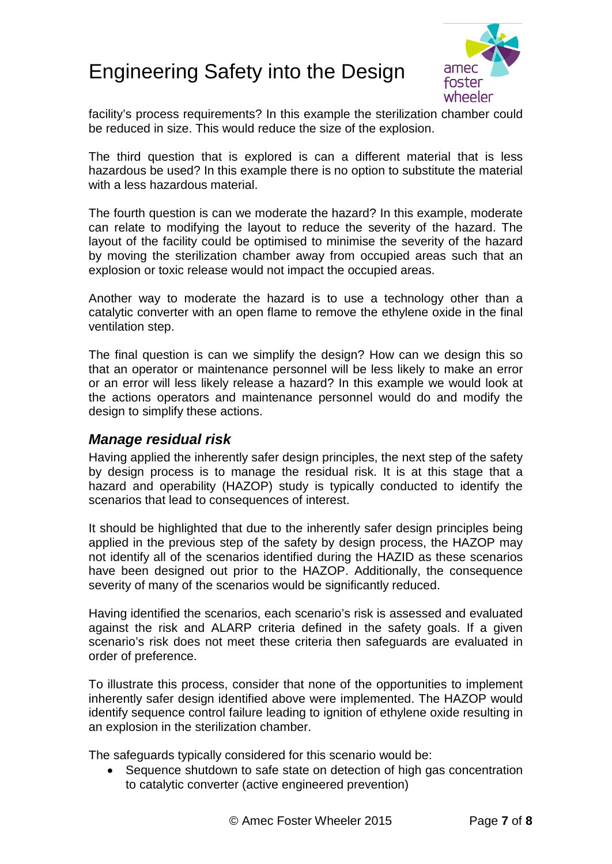

facility's process requirements? In this example the sterilization chamber could be reduced in size. This would reduce the size of the explosion.

The third question that is explored is can a different material that is less hazardous be used? In this example there is no option to substitute the material with a less hazardous material.

The fourth question is can we moderate the hazard? In this example, moderate can relate to modifying the layout to reduce the severity of the hazard. The layout of the facility could be optimised to minimise the severity of the hazard by moving the sterilization chamber away from occupied areas such that an explosion or toxic release would not impact the occupied areas.

Another way to moderate the hazard is to use a technology other than a catalytic converter with an open flame to remove the ethylene oxide in the final ventilation step.

The final question is can we simplify the design? How can we design this so that an operator or maintenance personnel will be less likely to make an error or an error will less likely release a hazard? In this example we would look at the actions operators and maintenance personnel would do and modify the design to simplify these actions.

#### *Manage residual risk*

Having applied the inherently safer design principles, the next step of the safety by design process is to manage the residual risk. It is at this stage that a hazard and operability (HAZOP) study is typically conducted to identify the scenarios that lead to consequences of interest.

It should be highlighted that due to the inherently safer design principles being applied in the previous step of the safety by design process, the HAZOP may not identify all of the scenarios identified during the HAZID as these scenarios have been designed out prior to the HAZOP. Additionally, the consequence severity of many of the scenarios would be significantly reduced.

Having identified the scenarios, each scenario's risk is assessed and evaluated against the risk and ALARP criteria defined in the safety goals. If a given scenario's risk does not meet these criteria then safeguards are evaluated in order of preference.

To illustrate this process, consider that none of the opportunities to implement inherently safer design identified above were implemented. The HAZOP would identify sequence control failure leading to ignition of ethylene oxide resulting in an explosion in the sterilization chamber.

The safeguards typically considered for this scenario would be:

• Sequence shutdown to safe state on detection of high gas concentration to catalytic converter (active engineered prevention)